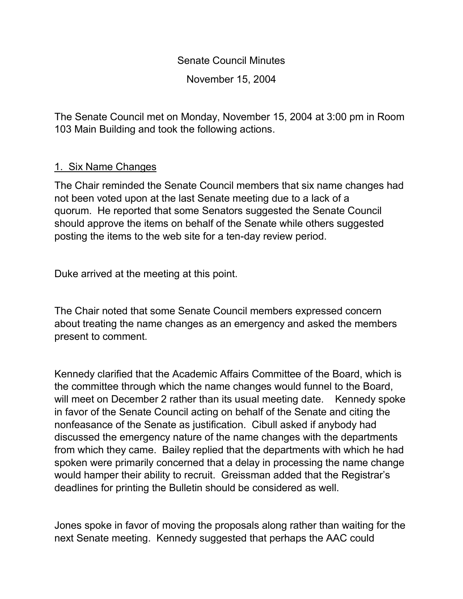Senate Council Minutes November 15, 2004

The Senate Council met on Monday, November 15, 2004 at 3:00 pm in Room 103 Main Building and took the following actions.

### 1. Six Name Changes

The Chair reminded the Senate Council members that six name changes had not been voted upon at the last Senate meeting due to a lack of a quorum. He reported that some Senators suggested the Senate Council should approve the items on behalf of the Senate while others suggested posting the items to the web site for a ten-day review period.

Duke arrived at the meeting at this point.

The Chair noted that some Senate Council members expressed concern about treating the name changes as an emergency and asked the members present to comment.

Kennedy clarified that the Academic Affairs Committee of the Board, which is the committee through which the name changes would funnel to the Board, will meet on December 2 rather than its usual meeting date. Kennedy spoke in favor of the Senate Council acting on behalf of the Senate and citing the nonfeasance of the Senate as justification. Cibull asked if anybody had discussed the emergency nature of the name changes with the departments from which they came. Bailey replied that the departments with which he had spoken were primarily concerned that a delay in processing the name change would hamper their ability to recruit. Greissman added that the Registrar's deadlines for printing the Bulletin should be considered as well.

Jones spoke in favor of moving the proposals along rather than waiting for the next Senate meeting. Kennedy suggested that perhaps the AAC could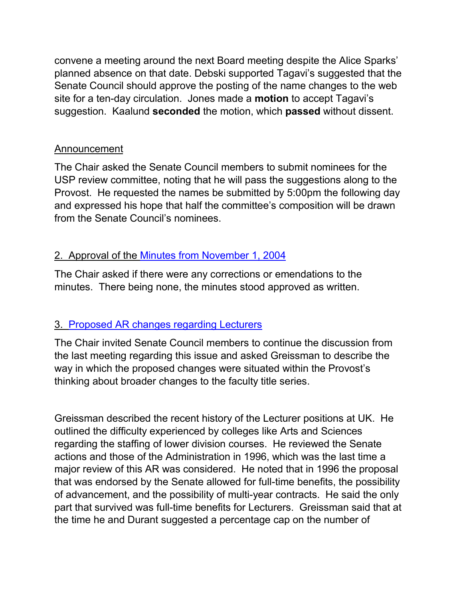convene a meeting around the next Board meeting despite the Alice Sparks' planned absence on that date. Debski supported Tagavi's suggested that the Senate Council should approve the posting of the name changes to the web site for a ten-day circulation. Jones made a **motion** to accept Tagavi's suggestion. Kaalund **seconded** the motion, which **passed** without dissent.

## Announcement

The Chair asked the Senate Council members to submit nominees for the USP review committee, noting that he will pass the suggestions along to the Provost. He requested the names be submitted by 5:00pm the following day and expressed his hope that half the committee's composition will be drawn from the Senate Council's nominees.

## 2. Approval of the Minutes from [November 1, 2004](http://www.uky.edu/USC/New/SCMinutes/SC%20Minutes%20November%201%202004%20FINAL.htm)

The Chair asked if there were any corrections or emendations to the minutes. There being none, the minutes stood approved as written.

# 3. [Proposed AR changes regarding Lecturers](http://www.uky.edu/USC/New/SCAgendas/20041025/Appointment%20&%20Service%20of%20Lecturer%20Faculty.pdf)

The Chair invited Senate Council members to continue the discussion from the last meeting regarding this issue and asked Greissman to describe the way in which the proposed changes were situated within the Provost's thinking about broader changes to the faculty title series.

Greissman described the recent history of the Lecturer positions at UK. He outlined the difficulty experienced by colleges like Arts and Sciences regarding the staffing of lower division courses. He reviewed the Senate actions and those of the Administration in 1996, which was the last time a major review of this AR was considered. He noted that in 1996 the proposal that was endorsed by the Senate allowed for full-time benefits, the possibility of advancement, and the possibility of multi-year contracts. He said the only part that survived was full-time benefits for Lecturers. Greissman said that at the time he and Durant suggested a percentage cap on the number of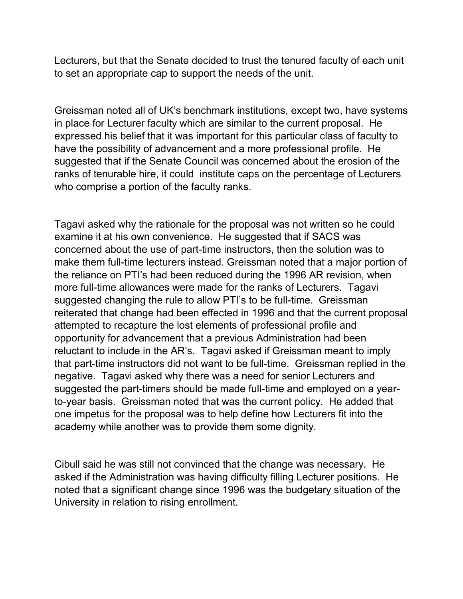Lecturers, but that the Senate decided to trust the tenured faculty of each unit to set an appropriate cap to support the needs of the unit.

Greissman noted all of UK's benchmark institutions, except two, have systems in place for Lecturer faculty which are similar to the current proposal. He expressed his belief that it was important for this particular class of faculty to have the possibility of advancement and a more professional profile. He suggested that if the Senate Council was concerned about the erosion of the ranks of tenurable hire, it could institute caps on the percentage of Lecturers who comprise a portion of the faculty ranks.

Tagavi asked why the rationale for the proposal was not written so he could examine it at his own convenience. He suggested that if SACS was concerned about the use of part-time instructors, then the solution was to make them full-time lecturers instead. Greissman noted that a major portion of the reliance on PTI's had been reduced during the 1996 AR revision, when more full-time allowances were made for the ranks of Lecturers. Tagavi suggested changing the rule to allow PTI's to be full-time. Greissman reiterated that change had been effected in 1996 and that the current proposal attempted to recapture the lost elements of professional profile and opportunity for advancement that a previous Administration had been reluctant to include in the AR's. Tagavi asked if Greissman meant to imply that part-time instructors did not want to be full-time. Greissman replied in the negative. Tagavi asked why there was a need for senior Lecturers and suggested the part-timers should be made full-time and employed on a yearto-year basis. Greissman noted that was the current policy. He added that one impetus for the proposal was to help define how Lecturers fit into the academy while another was to provide them some dignity.

Cibull said he was still not convinced that the change was necessary. He asked if the Administration was having difficulty filling Lecturer positions. He noted that a significant change since 1996 was the budgetary situation of the University in relation to rising enrollment.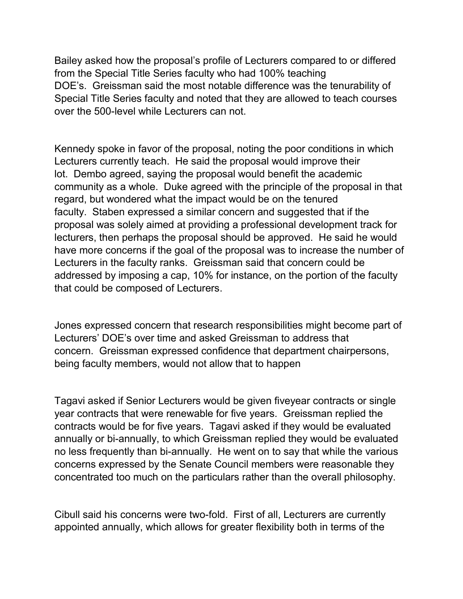Bailey asked how the proposal's profile of Lecturers compared to or differed from the Special Title Series faculty who had 100% teaching DOE's. Greissman said the most notable difference was the tenurability of Special Title Series faculty and noted that they are allowed to teach courses over the 500-level while Lecturers can not.

Kennedy spoke in favor of the proposal, noting the poor conditions in which Lecturers currently teach. He said the proposal would improve their lot. Dembo agreed, saying the proposal would benefit the academic community as a whole. Duke agreed with the principle of the proposal in that regard, but wondered what the impact would be on the tenured faculty. Staben expressed a similar concern and suggested that if the proposal was solely aimed at providing a professional development track for lecturers, then perhaps the proposal should be approved. He said he would have more concerns if the goal of the proposal was to increase the number of Lecturers in the faculty ranks. Greissman said that concern could be addressed by imposing a cap, 10% for instance, on the portion of the faculty that could be composed of Lecturers.

Jones expressed concern that research responsibilities might become part of Lecturers' DOE's over time and asked Greissman to address that concern. Greissman expressed confidence that department chairpersons, being faculty members, would not allow that to happen

Tagavi asked if Senior Lecturers would be given fiveyear contracts or single year contracts that were renewable for five years. Greissman replied the contracts would be for five years. Tagavi asked if they would be evaluated annually or bi-annually, to which Greissman replied they would be evaluated no less frequently than bi-annually. He went on to say that while the various concerns expressed by the Senate Council members were reasonable they concentrated too much on the particulars rather than the overall philosophy.

Cibull said his concerns were two-fold. First of all, Lecturers are currently appointed annually, which allows for greater flexibility both in terms of the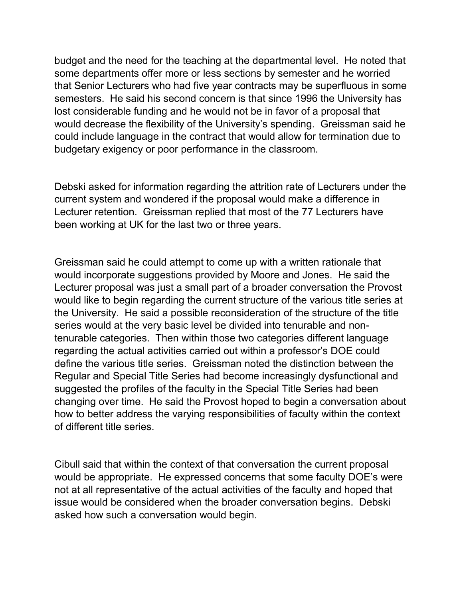budget and the need for the teaching at the departmental level. He noted that some departments offer more or less sections by semester and he worried that Senior Lecturers who had five year contracts may be superfluous in some semesters. He said his second concern is that since 1996 the University has lost considerable funding and he would not be in favor of a proposal that would decrease the flexibility of the University's spending. Greissman said he could include language in the contract that would allow for termination due to budgetary exigency or poor performance in the classroom.

Debski asked for information regarding the attrition rate of Lecturers under the current system and wondered if the proposal would make a difference in Lecturer retention. Greissman replied that most of the 77 Lecturers have been working at UK for the last two or three years.

Greissman said he could attempt to come up with a written rationale that would incorporate suggestions provided by Moore and Jones. He said the Lecturer proposal was just a small part of a broader conversation the Provost would like to begin regarding the current structure of the various title series at the University. He said a possible reconsideration of the structure of the title series would at the very basic level be divided into tenurable and nontenurable categories. Then within those two categories different language regarding the actual activities carried out within a professor's DOE could define the various title series. Greissman noted the distinction between the Regular and Special Title Series had become increasingly dysfunctional and suggested the profiles of the faculty in the Special Title Series had been changing over time. He said the Provost hoped to begin a conversation about how to better address the varying responsibilities of faculty within the context of different title series.

Cibull said that within the context of that conversation the current proposal would be appropriate. He expressed concerns that some faculty DOE's were not at all representative of the actual activities of the faculty and hoped that issue would be considered when the broader conversation begins. Debski asked how such a conversation would begin.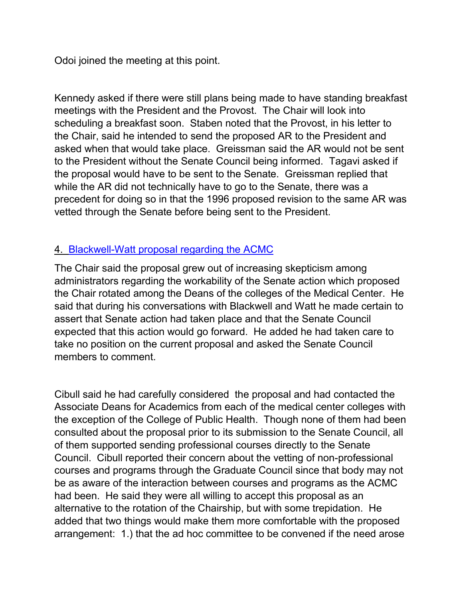Odoi joined the meeting at this point.

Kennedy asked if there were still plans being made to have standing breakfast meetings with the President and the Provost. The Chair will look into scheduling a breakfast soon. Staben noted that the Provost, in his letter to the Chair, said he intended to send the proposed AR to the President and asked when that would take place. Greissman said the AR would not be sent to the President without the Senate Council being informed. Tagavi asked if the proposal would have to be sent to the Senate. Greissman replied that while the AR did not technically have to go to the Senate, there was a precedent for doing so in that the 1996 proposed revision to the same AR was vetted through the Senate before being sent to the President.

## 4. [Blackwell-Watt proposal regarding the ACMC](http://www.uky.edu/USC/New/SCAgendas/20041115/Watt-BlackwellACMCmemo.doc)

The Chair said the proposal grew out of increasing skepticism among administrators regarding the workability of the Senate action which proposed the Chair rotated among the Deans of the colleges of the Medical Center. He said that during his conversations with Blackwell and Watt he made certain to assert that Senate action had taken place and that the Senate Council expected that this action would go forward. He added he had taken care to take no position on the current proposal and asked the Senate Council members to comment.

Cibull said he had carefully considered the proposal and had contacted the Associate Deans for Academics from each of the medical center colleges with the exception of the College of Public Health. Though none of them had been consulted about the proposal prior to its submission to the Senate Council, all of them supported sending professional courses directly to the Senate Council. Cibull reported their concern about the vetting of non-professional courses and programs through the Graduate Council since that body may not be as aware of the interaction between courses and programs as the ACMC had been. He said they were all willing to accept this proposal as an alternative to the rotation of the Chairship, but with some trepidation. He added that two things would make them more comfortable with the proposed arrangement: 1.) that the ad hoc committee to be convened if the need arose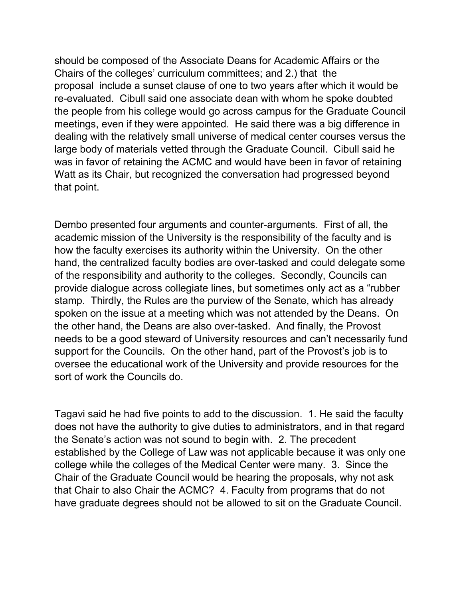should be composed of the Associate Deans for Academic Affairs or the Chairs of the colleges' curriculum committees; and 2.) that the proposal include a sunset clause of one to two years after which it would be re-evaluated. Cibull said one associate dean with whom he spoke doubted the people from his college would go across campus for the Graduate Council meetings, even if they were appointed. He said there was a big difference in dealing with the relatively small universe of medical center courses versus the large body of materials vetted through the Graduate Council. Cibull said he was in favor of retaining the ACMC and would have been in favor of retaining Watt as its Chair, but recognized the conversation had progressed beyond that point.

Dembo presented four arguments and counter-arguments. First of all, the academic mission of the University is the responsibility of the faculty and is how the faculty exercises its authority within the University. On the other hand, the centralized faculty bodies are over-tasked and could delegate some of the responsibility and authority to the colleges. Secondly, Councils can provide dialogue across collegiate lines, but sometimes only act as a "rubber stamp. Thirdly, the Rules are the purview of the Senate, which has already spoken on the issue at a meeting which was not attended by the Deans. On the other hand, the Deans are also over-tasked. And finally, the Provost needs to be a good steward of University resources and can't necessarily fund support for the Councils. On the other hand, part of the Provost's job is to oversee the educational work of the University and provide resources for the sort of work the Councils do.

Tagavi said he had five points to add to the discussion. 1. He said the faculty does not have the authority to give duties to administrators, and in that regard the Senate's action was not sound to begin with. 2. The precedent established by the College of Law was not applicable because it was only one college while the colleges of the Medical Center were many. 3. Since the Chair of the Graduate Council would be hearing the proposals, why not ask that Chair to also Chair the ACMC? 4. Faculty from programs that do not have graduate degrees should not be allowed to sit on the Graduate Council.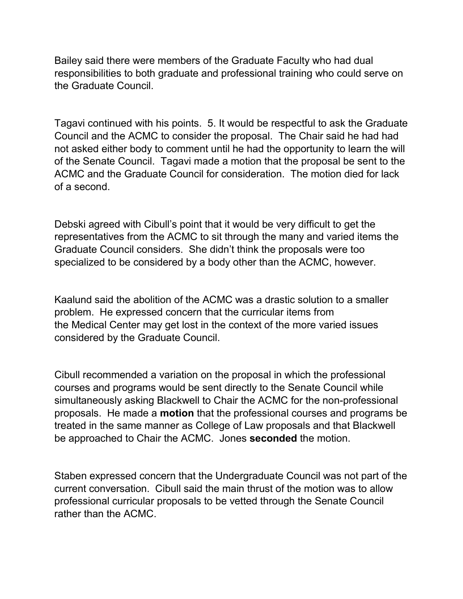Bailey said there were members of the Graduate Faculty who had dual responsibilities to both graduate and professional training who could serve on the Graduate Council.

Tagavi continued with his points. 5. It would be respectful to ask the Graduate Council and the ACMC to consider the proposal. The Chair said he had had not asked either body to comment until he had the opportunity to learn the will of the Senate Council. Tagavi made a motion that the proposal be sent to the ACMC and the Graduate Council for consideration. The motion died for lack of a second.

Debski agreed with Cibull's point that it would be very difficult to get the representatives from the ACMC to sit through the many and varied items the Graduate Council considers. She didn't think the proposals were too specialized to be considered by a body other than the ACMC, however.

Kaalund said the abolition of the ACMC was a drastic solution to a smaller problem. He expressed concern that the curricular items from the Medical Center may get lost in the context of the more varied issues considered by the Graduate Council.

Cibull recommended a variation on the proposal in which the professional courses and programs would be sent directly to the Senate Council while simultaneously asking Blackwell to Chair the ACMC for the non-professional proposals. He made a **motion** that the professional courses and programs be treated in the same manner as College of Law proposals and that Blackwell be approached to Chair the ACMC. Jones **seconded** the motion.

Staben expressed concern that the Undergraduate Council was not part of the current conversation. Cibull said the main thrust of the motion was to allow professional curricular proposals to be vetted through the Senate Council rather than the ACMC.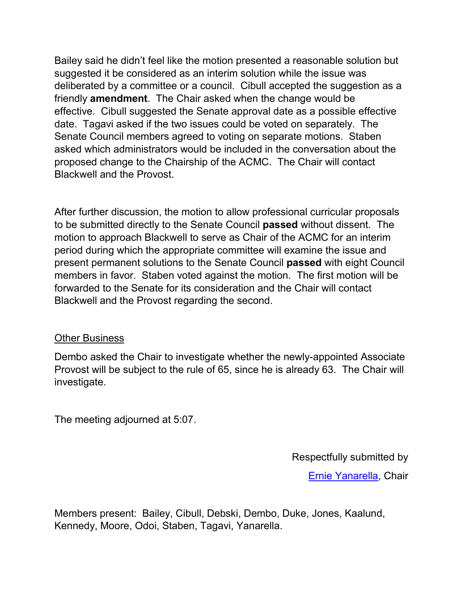Bailey said he didn't feel like the motion presented a reasonable solution but suggested it be considered as an interim solution while the issue was deliberated by a committee or a council. Cibull accepted the suggestion as a friendly **amendment**. The Chair asked when the change would be effective. Cibull suggested the Senate approval date as a possible effective date. Tagavi asked if the two issues could be voted on separately. The Senate Council members agreed to voting on separate motions. Staben asked which administrators would be included in the conversation about the proposed change to the Chairship of the ACMC. The Chair will contact Blackwell and the Provost.

After further discussion, the motion to allow professional curricular proposals to be submitted directly to the Senate Council **passed** without dissent. The motion to approach Blackwell to serve as Chair of the ACMC for an interim period during which the appropriate committee will examine the issue and present permanent solutions to the Senate Council **passed** with eight Council members in favor. Staben voted against the motion. The first motion will be forwarded to the Senate for its consideration and the Chair will contact Blackwell and the Provost regarding the second.

#### Other Business

Dembo asked the Chair to investigate whether the newly-appointed Associate Provost will be subject to the rule of 65, since he is already 63. The Chair will investigate.

The meeting adjourned at 5:07.

Respectfully submitted by

[Ernie Yanarella,](mailto:ejyana@email.uky.edu) Chair

Members present: Bailey, Cibull, Debski, Dembo, Duke, Jones, Kaalund, Kennedy, Moore, Odoi, Staben, Tagavi, Yanarella.